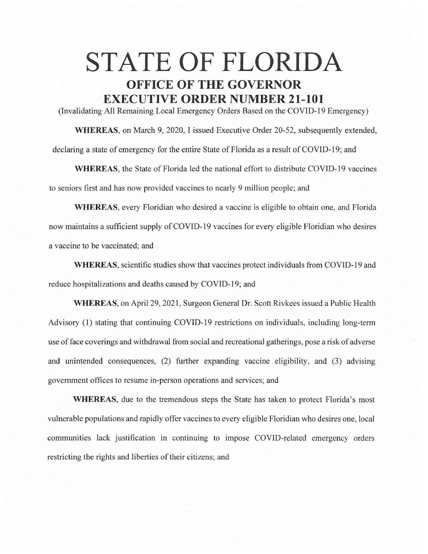## **STATE OF FLORIDA OFFICE OF THE GOVERNOR EXECUTIVE ORDER NUMBER 21-101**

(Invalidating All Remaining Local Emergency Orders Based on the COVID-19 Emergency)

**WHEREAS,** on March 9, 2020, I issued Executive Order 20-52, subsequently extended, declaring a state of emergency for the entire State of Florida as a result of COVID-19; and

**WHEREAS,** the State of Florida led the national effort to distribute COVID-19 vaccines to seniors first and has now provided vaccines to nearly 9 million people; and

**WHEREAS,** every Floridian who desired a vaccine is eligible to obtain one, and Florida now maintains a sufficient supply of COVID-19 vaccines for every eligible Floridian who desires a vaccine to be vaccinated; and

**WHEREAS,** scientific studies show that vaccines protect individuals from COVID-19 and reduce hospitalizations and deaths caused by COVID-19; and

**WHEREAS,** on April 29, 2021 , Surgeon General Dr. Scott Rivkees issued a Public Health Advisory (1) stating that continuing COVID-19 restrictions on individuals, including long-term use of face coverings and withdrawal from social and recreational gatherings, pose a risk of adverse and unintended consequences, (2) further expanding vaccine eligibility, and (3) advising government offices to resume in-person operations and services; and

**WHEREAS,** due to the tremendous steps the State has taken to protect Florida's most vulnerable populations and rapidly offer vaccines to every eligible Floridian who desires one, local communities lack justification in continuing to impose COVID-related emergency orders restricting the rights and liberties of their citizens; and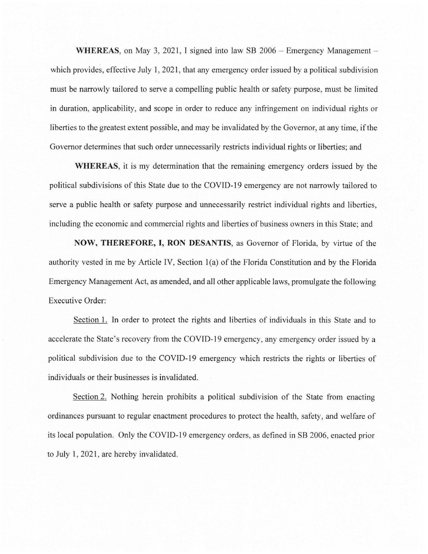**WHEREAS, on May 3, 2021, I signed into law SB 2006 - Emergency Management** which provides, effective July 1, 2021, that any emergency order issued by a political subdivision must be narrowly tailored to serve a compelling public health or safety purpose, must be limited in duration, applicability, and scope in order to reduce any infringement on individual rights or liberties to the greatest extent possible, and may be invalidated by the Governor, at any time, if the Governor determines that such order unnecessarily restricts individual rights or liberties; and

**WHEREAS,** it is my determination that the remaining emergency orders issued by the political subdivisions of this State due to the COVID-19 emergency are not narrowly tailored to serve a public health or safety purpose and unnecessarily restrict individual rights and liberties, including the economic and commercial rights and liberties of business owners in this State; and

**NOW, THEREFORE, I, RON DESANTIS,** as Governor of Florida, by virtue of the authority vested in me by Article IV, Section 1(a) of the Florida Constitution and by the Florida Emergency Management Act, as amended, and all other applicable laws, promulgate the following Executive Order:

Section 1. In order to protect the rights and liberties of individuals in this State and to accelerate the State's recovery from the COVID-19 emergency, any emergency order issued by a political subdivision due to the COVID-19 emergency which restricts the rights or liberties of individuals or their businesses is invalidated.

Section 2. Nothing herein prohibits a political subdivision of the State from enacting ordinances pursuant to regular enactment procedures to protect the health, safety, and welfare of its local population. Only the COVID-19 emergency orders, as defined in SB 2006, enacted prior to July 1, 2021, are hereby invalidated.